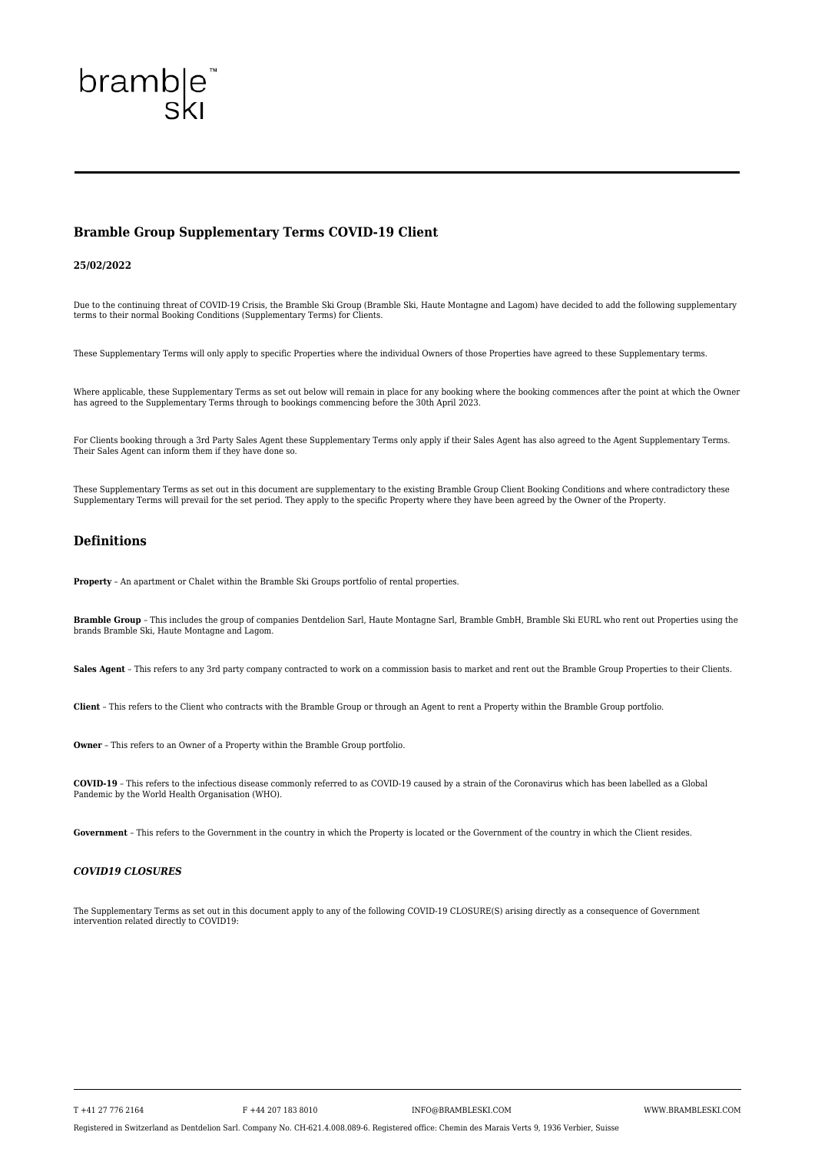T +41 27 776 2164 F +44 207 183 8010 INFO@BRAMBLESKI.COM WWW.BRAMBLESKI.COM

Registered in Switzerland as Dentdelion Sarl. Company No. CH-621.4.008.089-6. Registered office: Chemin des Marais Verts 9, 1936 Verbier, Suisse

# bramble<sup>®</sup><br>ski

# **Bramble Group Supplementary Terms COVID-19 Client**

# **25/02/2022**

Due to the continuing threat of COVID-19 Crisis, the Bramble Ski Group (Bramble Ski, Haute Montagne and Lagom) have decided to add the following supplementary terms to their normal Booking Conditions (Supplementary Terms) for Clients.

These Supplementary Terms will only apply to specific Properties where the individual Owners of those Properties have agreed to these Supplementary terms.

Where applicable, these Supplementary Terms as set out below will remain in place for any booking where the booking commences after the point at which the Owner has agreed to the Supplementary Terms through to bookings commencing before the 30th April 2023.

For Clients booking through a 3rd Party Sales Agent these Supplementary Terms only apply if their Sales Agent has also agreed to the Agent Supplementary Terms. Their Sales Agent can inform them if they have done so.

These Supplementary Terms as set out in this document are supplementary to the existing Bramble Group Client Booking Conditions and where contradictory these Supplementary Terms will prevail for the set period. They apply to the specific Property where they have been agreed by the Owner of the Property.

# **Definitions**

**Property** – An apartment or Chalet within the Bramble Ski Groups portfolio of rental properties.

**Bramble Group** – This includes the group of companies Dentdelion Sarl, Haute Montagne Sarl, Bramble GmbH, Bramble Ski EURL who rent out Properties using the brands Bramble Ski, Haute Montagne and Lagom.

Sales Agent - This refers to any 3rd party company contracted to work on a commission basis to market and rent out the Bramble Group Properties to their Clients.

**Client** – This refers to the Client who contracts with the Bramble Group or through an Agent to rent a Property within the Bramble Group portfolio.

**Owner** – This refers to an Owner of a Property within the Bramble Group portfolio.

**COVID-19** – This refers to the infectious disease commonly referred to as COVID-19 caused by a strain of the Coronavirus which has been labelled as a Global Pandemic by the World Health Organisation (WHO).

**Government** – This refers to the Government in the country in which the Property is located or the Government of the country in which the Client resides.

#### *COVID19 CLOSURES*

The Supplementary Terms as set out in this document apply to any of the following COVID-19 CLOSURE(S) arising directly as a consequence of Government intervention related directly to COVID19: